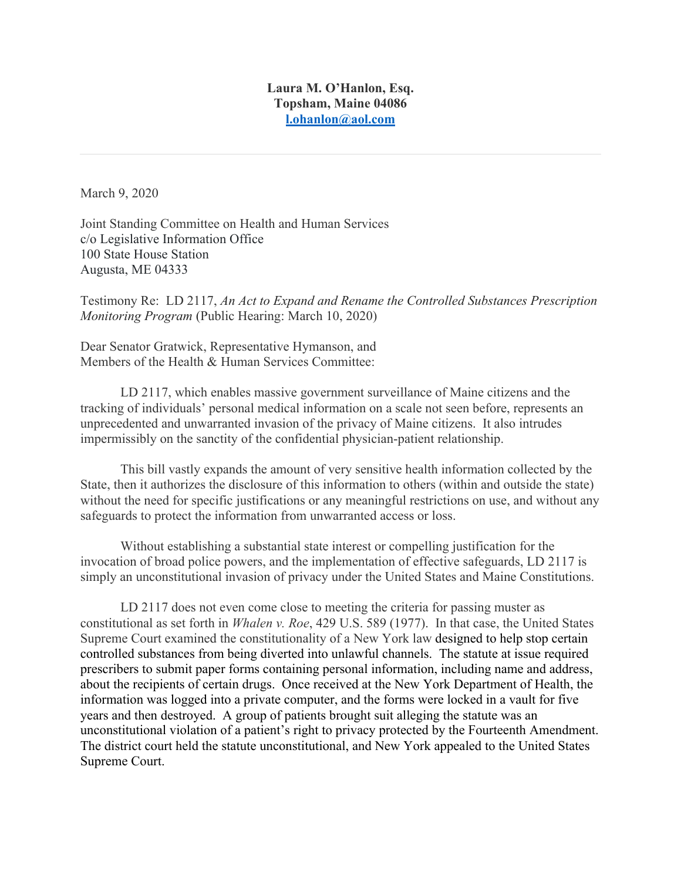## **Laura M. O'Hanlon, Esq. Topsham, Maine 04086 l.ohanlon@aol.com**

March 9, 2020

Joint Standing Committee on Health and Human Services c/o Legislative Information Office 100 State House Station Augusta, ME 04333

Testimony Re: LD 2117, *An Act to Expand and Rename the Controlled Substances Prescription Monitoring Program* (Public Hearing: March 10, 2020)

Dear Senator Gratwick, Representative Hymanson, and Members of the Health & Human Services Committee:

LD 2117, which enables massive government surveillance of Maine citizens and the tracking of individuals' personal medical information on a scale not seen before, represents an unprecedented and unwarranted invasion of the privacy of Maine citizens. It also intrudes impermissibly on the sanctity of the confidential physician-patient relationship.

This bill vastly expands the amount of very sensitive health information collected by the State, then it authorizes the disclosure of this information to others (within and outside the state) without the need for specific justifications or any meaningful restrictions on use, and without any safeguards to protect the information from unwarranted access or loss.

Without establishing a substantial state interest or compelling justification for the invocation of broad police powers, and the implementation of effective safeguards, LD 2117 is simply an unconstitutional invasion of privacy under the United States and Maine Constitutions.

LD 2117 does not even come close to meeting the criteria for passing muster as constitutional as set forth in *Whalen v. Roe*, 429 U.S. 589 (1977). In that case, the United States Supreme Court examined the constitutionality of a New York law designed to help stop certain controlled substances from being diverted into unlawful channels. The statute at issue required prescribers to submit paper forms containing personal information, including name and address, about the recipients of certain drugs. Once received at the New York Department of Health, the information was logged into a private computer, and the forms were locked in a vault for five years and then destroyed. A group of patients brought suit alleging the statute was an unconstitutional violation of a patient's right to privacy protected by the Fourteenth Amendment. The district court held the statute unconstitutional, and New York appealed to the United States Supreme Court.